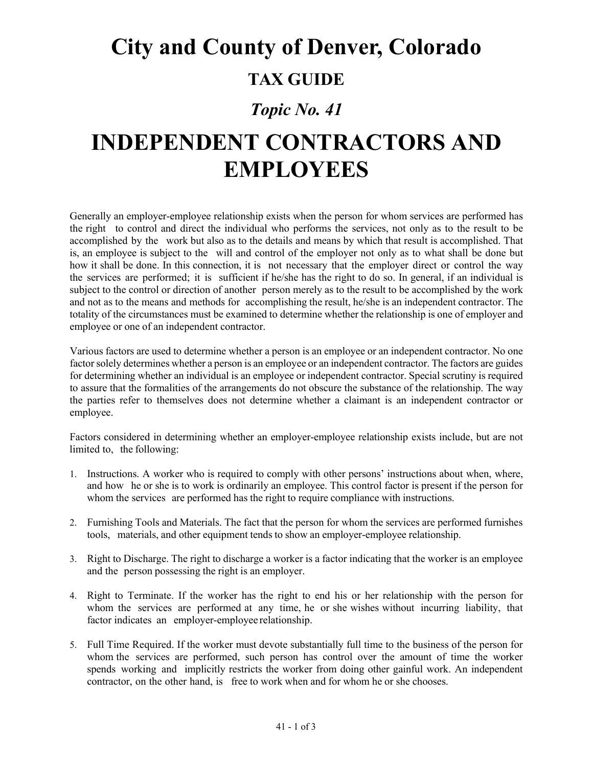## **City and County of Denver, Colorado**

#### **TAX GUIDE**

### *Topic No. 41*

# **INDEPENDENT CONTRACTORS AND EMPLOYEES**

Generally an employer-employee relationship exists when the person for whom services are performed has the right to control and direct the individual who performs the services, not only as to the result to be accomplished by the work but also as to the details and means by which that result is accomplished. That is, an employee is subject to the will and control of the employer not only as to what shall be done but how it shall be done. In this connection, it is not necessary that the employer direct or control the way the services are performed; it is sufficient if he/she has the right to do so. In general, if an individual is subject to the control or direction of another person merely as to the result to be accomplished by the work and not as to the means and methods for accomplishing the result, he/she is an independent contractor. The totality of the circumstances must be examined to determine whether the relationship is one of employer and employee or one of an independent contractor.

Various factors are used to determine whether a person is an employee or an independent contractor. No one factor solely determines whether a person is an employee or an independent contractor. The factors are guides for determining whether an individual is an employee or independent contractor. Special scrutiny is required to assure that the formalities of the arrangements do not obscure the substance of the relationship. The way the parties refer to themselves does not determine whether a claimant is an independent contractor or employee.

Factors considered in determining whether an employer-employee relationship exists include, but are not limited to, the following:

- 1. Instructions. A worker who is required to comply with other persons' instructions about when, where, and how he or she is to work is ordinarily an employee. This control factor is present if the person for whom the services are performed has the right to require compliance with instructions.
- 2. Furnishing Tools and Materials. The fact that the person for whom the services are performed furnishes tools, materials, and other equipment tends to show an employer-employee relationship.
- 3. Right to Discharge. The right to discharge a worker is a factor indicating that the worker is an employee and the person possessing the right is an employer.
- 4. Right to Terminate. If the worker has the right to end his or her relationship with the person for whom the services are performed at any time, he or she wishes without incurring liability, that factor indicates an employer-employee relationship.
- 5. Full Time Required. If the worker must devote substantially full time to the business of the person for whom the services are performed, such person has control over the amount of time the worker spends working and implicitly restricts the worker from doing other gainful work. An independent contractor, on the other hand, is free to work when and for whom he or she chooses.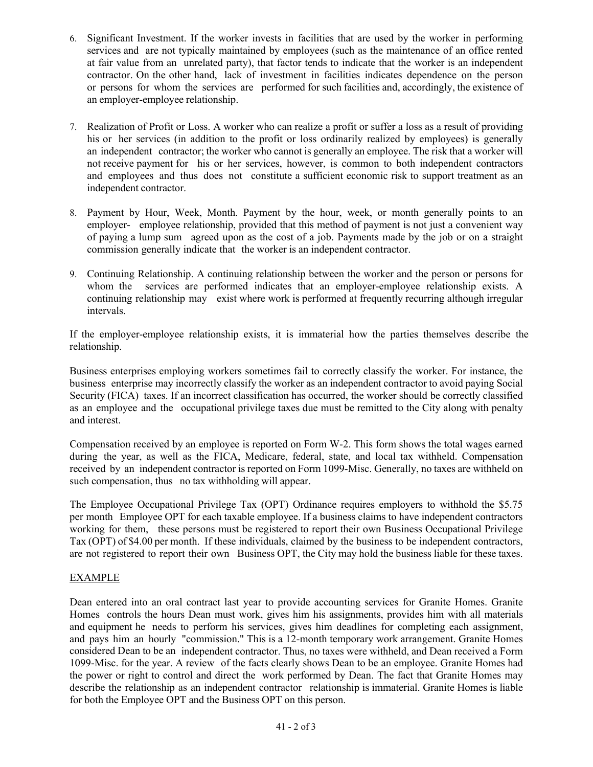- 6. Significant Investment. If the worker invests in facilities that are used by the worker in performing services and are not typically maintained by employees (such as the maintenance of an office rented at fair value from an unrelated party), that factor tends to indicate that the worker is an independent contractor. On the other hand, lack of investment in facilities indicates dependence on the person or persons for whom the services are performed for such facilities and, accordingly, the existence of an employer-employee relationship.
- 7. Realization of Profit or Loss. A worker who can realize a profit or suffer a loss as a result of providing his or her services (in addition to the profit or loss ordinarily realized by employees) is generally an independent contractor; the worker who cannot is generally an employee. The risk that a worker will not receive payment for his or her services, however, is common to both independent contractors and employees and thus does not constitute a sufficient economic risk to support treatment as an independent contractor.
- 8. Payment by Hour, Week, Month. Payment by the hour, week, or month generally points to an employer- employee relationship, provided that this method of payment is not just a convenient way of paying a lump sum agreed upon as the cost of a job. Payments made by the job or on a straight commission generally indicate that the worker is an independent contractor.
- 9. Continuing Relationship. A continuing relationship between the worker and the person or persons for whom the services are performed indicates that an employer-employee relationship exists. A continuing relationship may exist where work is performed at frequently recurring although irregular intervals.

If the employer-employee relationship exists, it is immaterial how the parties themselves describe the relationship.

Business enterprises employing workers sometimes fail to correctly classify the worker. For instance, the business enterprise may incorrectly classify the worker as an independent contractor to avoid paying Social Security (FICA) taxes. If an incorrect classification has occurred, the worker should be correctly classified as an employee and the occupational privilege taxes due must be remitted to the City along with penalty and interest.

Compensation received by an employee is reported on Form W-2. This form shows the total wages earned during the year, as well as the FICA, Medicare, federal, state, and local tax withheld. Compensation received by an independent contractor is reported on Form 1099-Misc. Generally, no taxes are withheld on such compensation, thus no tax withholding will appear.

The Employee Occupational Privilege Tax (OPT) Ordinance requires employers to withhold the \$5.75 per month Employee OPT for each taxable employee. If a business claims to have independent contractors working for them, these persons must be registered to report their own Business Occupational Privilege Tax (OPT) of \$4.00 per month. If these individuals, claimed by the business to be independent contractors, are not registered to report their own Business OPT, the City may hold the business liable for these taxes.

#### EXAMPLE

Dean entered into an oral contract last year to provide accounting services for Granite Homes. Granite Homes controls the hours Dean must work, gives him his assignments, provides him with all materials and equipment he needs to perform his services, gives him deadlines for completing each assignment, and pays him an hourly "commission." This is a 12-month temporary work arrangement. Granite Homes considered Dean to be an independent contractor. Thus, no taxes were withheld, and Dean received a Form 1099-Misc. for the year. A review of the facts clearly shows Dean to be an employee. Granite Homes had the power or right to control and direct the work performed by Dean. The fact that Granite Homes may describe the relationship as an independent contractor relationship is immaterial. Granite Homes is liable for both the Employee OPT and the Business OPT on this person.